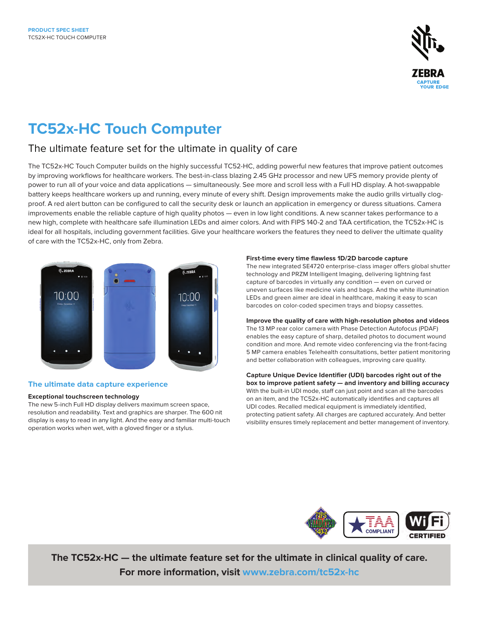

# **TC52x-HC Touch Computer**

## The ultimate feature set for the ultimate in quality of care

The TC52x-HC Touch Computer builds on the highly successful TC52-HC, adding powerful new features that improve patient outcomes by improving workflows for healthcare workers. The best-in-class blazing 2.45 GHz processor and new UFS memory provide plenty of power to run all of your voice and data applications — simultaneously. See more and scroll less with a Full HD display. A hot-swappable battery keeps healthcare workers up and running, every minute of every shift. Design improvements make the audio grills virtually clogproof. A red alert button can be configured to call the security desk or launch an application in emergency or duress situations. Camera improvements enable the reliable capture of high quality photos — even in low light conditions. A new scanner takes performance to a new high, complete with healthcare safe illumination LEDs and aimer colors. And with FIPS 140-2 and TAA certification, the TC52x-HC is ideal for all hospitals, including government facilities. Give your healthcare workers the features they need to deliver the ultimate quality of care with the TC52x-HC, only from Zebra.



### **The ultimate data capture experience**

#### **Exceptional touchscreen technology**

The new 5-inch Full HD display delivers maximum screen space, resolution and readability. Text and graphics are sharper. The 600 nit display is easy to read in any light. And the easy and familiar multi-touch operation works when wet, with a gloved finger or a stylus.

#### **First-time every time flawless 1D/2D barcode capture**

The new integrated SE4720 enterprise-class imager offers global shutter technology and PRZM Intelligent Imaging, delivering lightning fast capture of barcodes in virtually any condition — even on curved or uneven surfaces like medicine vials and bags. And the white illumination LEDs and green aimer are ideal in healthcare, making it easy to scan barcodes on color-coded specimen trays and biopsy cassettes.

#### **Improve the quality of care with high-resolution photos and videos** The 13 MP rear color camera with Phase Detection Autofocus (PDAF) enables the easy capture of sharp, detailed photos to document wound condition and more. And remote video conferencing via the front-facing 5 MP camera enables Telehealth consultations, better patient monitoring and better collaboration with colleagues, improving care quality.

**Capture Unique Device Identifier (UDI) barcodes right out of the box to improve patient safety — and inventory and billing accuracy** With the built-in UDI mode, staff can just point and scan all the barcodes on an item, and the TC52x-HC automatically identifies and captures all UDI codes. Recalled medical equipment is immediately identified, protecting patient safety. All charges are captured accurately. And better visibility ensures timely replacement and better management of inventory.



**The TC52x-HC — the ultimate feature set for the ultimate in clinical quality of care. For more information, visit [www.zebra.com/tc52](http://www.zebra.com/tc52x-hc)x-hc**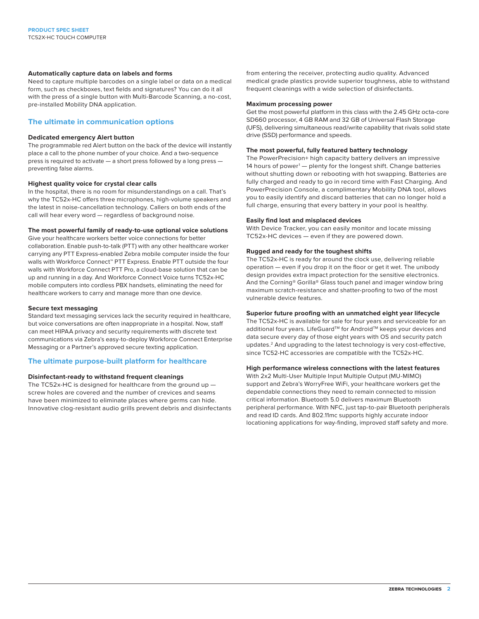#### **Automatically capture data on labels and forms**

Need to capture multiple barcodes on a single label or data on a medical form, such as checkboxes, text fields and signatures? You can do it all with the press of a single button with Multi-Barcode Scanning, a no-cost, pre-installed Mobility DNA application.

#### **The ultimate in communication options**

#### **Dedicated emergency Alert button**

The programmable red Alert button on the back of the device will instantly place a call to the phone number of your choice. And a two-sequence press is required to activate — a short press followed by a long press preventing false alarms.

#### **Highest quality voice for crystal clear calls**

In the hospital, there is no room for misunderstandings on a call. That's why the TC52x-HC offers three microphones, high-volume speakers and the latest in noise-cancellation technology. Callers on both ends of the call will hear every word — regardless of background noise.

#### **The most powerful family of ready-to-use optional voice solutions**

Give your healthcare workers better voice connections for better collaboration. Enable push-to-talk (PTT) with any other healthcare worker carrying any PTT Express-enabled Zebra mobile computer inside the four walls with Workforce Connect™ PTT Express. Enable PTT outside the four walls with Workforce Connect PTT Pro, a cloud-base solution that can be up and running in a day. And Workforce Connect Voice turns TC52x-HC mobile computers into cordless PBX handsets, eliminating the need for healthcare workers to carry and manage more than one device.

#### **Secure text messaging**

Standard text messaging services lack the security required in healthcare, but voice conversations are often inappropriate in a hospital. Now, staff can meet HIPAA privacy and security requirements with discrete text communications via Zebra's easy-to-deploy Workforce Connect Enterprise Messaging or a Partner's approved secure texting application.

#### **The ultimate purpose-built platform for healthcare**

#### **Disinfectant-ready to withstand frequent cleanings**

The TC52x-HC is designed for healthcare from the ground up screw holes are covered and the number of crevices and seams have been minimized to eliminate places where germs can hide. Innovative clog-resistant audio grills prevent debris and disinfectants from entering the receiver, protecting audio quality. Advanced medical grade plastics provide superior toughness, able to withstand frequent cleanings with a wide selection of disinfectants.

#### **Maximum processing power**

Get the most powerful platform in this class with the 2.45 GHz octa-core SD660 processor, 4 GB RAM and 32 GB of Universal Flash Storage (UFS), delivering simultaneous read/write capability that rivals solid state drive (SSD) performance and speeds.

#### **The most powerful, fully featured battery technology**

The PowerPrecision+ high capacity battery delivers an impressive 14 hours of power<sup>1</sup> — plenty for the longest shift. Change batteries without shutting down or rebooting with hot swapping. Batteries are fully charged and ready to go in record time with Fast Charging. And PowerPrecision Console, a complimentary Mobility DNA tool, allows you to easily identify and discard batteries that can no longer hold a full charge, ensuring that every battery in your pool is healthy.

#### **Easily find lost and misplaced devices**

With Device Tracker, you can easily monitor and locate missing TC52x-HC devices — even if they are powered down.

#### **Rugged and ready for the toughest shifts**

The TC52x-HC is ready for around the clock use, delivering reliable operation — even if you drop it on the floor or get it wet. The unibody design provides extra impact protection for the sensitive electronics. And the Corning® Gorilla® Glass touch panel and imager window bring maximum scratch-resistance and shatter-proofing to two of the most vulnerable device features.

#### **Superior future proofing with an unmatched eight year lifecycle**

The TC52x-HC is available for sale for four years and serviceable for an additional four years. LifeGuard™ for Android™ keeps your devices and data secure every day of those eight years with OS and security patch updates.<sup>2</sup> And upgrading to the latest technology is very cost-effective, since TC52-HC accessories are compatible with the TC52x-HC.

#### **High performance wireless connections with the latest features**

With 2x2 Multi-User Multiple Input Multiple Output (MU-MIMO) support and Zebra's WorryFree WiFi, your healthcare workers get the dependable connections they need to remain connected to mission critical information. Bluetooth 5.0 delivers maximum Bluetooth peripheral performance. With NFC, just tap-to-pair Bluetooth peripherals and read ID cards. And 802.11mc supports highly accurate indoor locationing applications for way-finding, improved staff safety and more.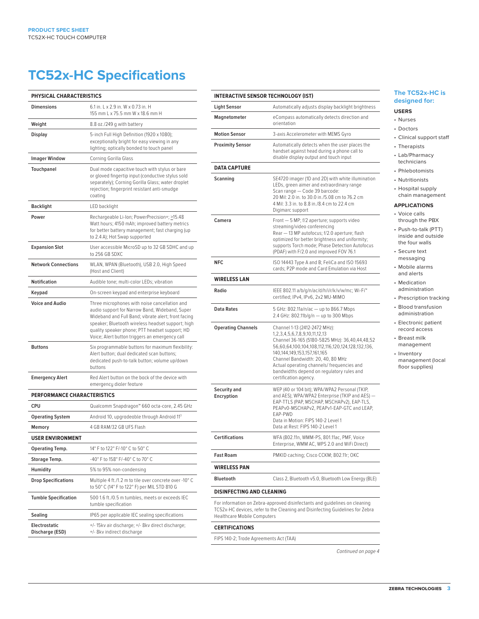## **TC52x-HC Specifications**

| <b>PHYSICAL CHARACTERISTICS</b>    |                                                                                                                                                                                                                                                                                                                 |
|------------------------------------|-----------------------------------------------------------------------------------------------------------------------------------------------------------------------------------------------------------------------------------------------------------------------------------------------------------------|
| <b>Dimensions</b>                  | 6.1 in. L x 2.9 in. W x 0.73 in. H<br>155 mm L x 75.5 mm W x 18.6 mm H                                                                                                                                                                                                                                          |
| Weight                             | 8.8 oz./249 g with battery                                                                                                                                                                                                                                                                                      |
| <b>Display</b>                     | 5-inch Full High Definition (1920 x 1080);<br>exceptionally bright for easy viewing in any<br>lighting; optically bonded to touch panel                                                                                                                                                                         |
| <b>Imager Window</b>               | Corning Gorilla Glass                                                                                                                                                                                                                                                                                           |
| Touchpanel                         | Dual mode capacitive touch with stylus or bare<br>or gloved fingertip input (conductive stylus sold<br>separately); Corning Gorilla Glass; water droplet<br>rejection; fingerprint resistant anti-smudge<br>coating                                                                                             |
| <b>Backlight</b>                   | LED backlight                                                                                                                                                                                                                                                                                                   |
| Power                              | Rechargeable Li-Ion; PowerPrecision+; >15.48<br>Watt hours; 4150 mAh; improved battery metrics<br>for better battery management; fast charging (up<br>to 2.4 A); Hot Swap supported                                                                                                                             |
| <b>Expansion Slot</b>              | User accessible MicroSD up to 32 GB SDHC and up<br>to 256 GB SDXC                                                                                                                                                                                                                                               |
| <b>Network Connections</b>         | WLAN, WPAN (Bluetooth), USB 2.0, High Speed<br>(Host and Client)                                                                                                                                                                                                                                                |
| Notification                       | Audible tone; multi-color LEDs; vibration                                                                                                                                                                                                                                                                       |
| Keypad                             | On-screen keypad and enterprise keyboard                                                                                                                                                                                                                                                                        |
| <b>Voice and Audio</b>             | Three microphones with noise cancellation and<br>audio support for Narrow Band, Wideband, Super<br>Wideband and Full Band; vibrate alert; front facing<br>speaker; Bluetooth wireless headset support; high<br>quality speaker phone; PTT headset support; HD<br>Voice; Alert button triggers an emergency call |
| <b>Buttons</b>                     | Six programmable buttons for maximum flexibility:<br>Alert button; dual dedicated scan buttons;<br>dedicated push-to-talk button; volume up/down<br>buttons                                                                                                                                                     |
| <b>Emergency Alert</b>             | Red Alert button on the back of the device with<br>emergency dialer feature                                                                                                                                                                                                                                     |
| <b>PERFORMANCE CHARACTERISTICS</b> |                                                                                                                                                                                                                                                                                                                 |
| <b>CPU</b>                         | Qualcomm Snapdragon™ 660 octa-core, 2.45 GHz                                                                                                                                                                                                                                                                    |
| <b>Operating System</b>            | Android 10, upgradeable through Android 113                                                                                                                                                                                                                                                                     |
| Memory                             | 4 GB RAM/32 GB UFS Flash                                                                                                                                                                                                                                                                                        |
| <b>USER ENVIRONMENT</b>            |                                                                                                                                                                                                                                                                                                                 |
| <b>Operating Temp.</b>             | 14° F to 122° F/-10° C to 50° C                                                                                                                                                                                                                                                                                 |
| Storage Temp.                      | -40° F to 158° F/-40° C to 70° C                                                                                                                                                                                                                                                                                |
| Humidity                           | 5% to 95% non-condensing                                                                                                                                                                                                                                                                                        |
| <b>Drop Specifications</b>         | Multiple 4 ft./1.2 m to tile over concrete over -10° C<br>to 50° C (14° F to 122° F) per MIL STD 810 G                                                                                                                                                                                                          |
| <b>Tumble Specification</b>        | 500 1.6 ft./0.5 m tumbles, meets or exceeds IEC<br>tumble specification                                                                                                                                                                                                                                         |
| Sealing                            | IP65 per applicable IEC sealing specifications                                                                                                                                                                                                                                                                  |
| Electrostatic<br>Discharge (ESD)   | +/-15kv air discharge; +/-8kv direct discharge;<br>+/- 8kv indirect discharge                                                                                                                                                                                                                                   |

| INTERACTIVE SENSOR TECHNOLOGY (IST) |                                                                                                                                                                                                                                                                                                                                                                          |
|-------------------------------------|--------------------------------------------------------------------------------------------------------------------------------------------------------------------------------------------------------------------------------------------------------------------------------------------------------------------------------------------------------------------------|
| Light Sensor                        | Automatically adjusts display backlight brightness                                                                                                                                                                                                                                                                                                                       |
| Magnetometer                        | eCompass automatically detects direction and<br>orientation                                                                                                                                                                                                                                                                                                              |
| <b>Motion Sensor</b>                | 3-axis Accelerometer with MEMS Gyro                                                                                                                                                                                                                                                                                                                                      |
| <b>Proximity Sensor</b>             | Automatically detects when the user places the<br>handset against head during a phone call to<br>disable display output and touch input                                                                                                                                                                                                                                  |
| DATA CAPTURE                        |                                                                                                                                                                                                                                                                                                                                                                          |
| Scanning                            | SE4720 imager (1D and 2D) with white illumination<br>LEDs, green aimer and extraordinary range<br>Scan range - Code 39 barcode:<br>20 Mil: 2.0 in. to 30.0 in./5.08 cm to 76.2 cm<br>4 Mil: 3.3 in. to 8.8 in./8.4 cm to 22.4 cm<br>Digimarc support                                                                                                                     |
| Camera                              | Front - 5 MP; f/2 aperture; supports video<br>streaming/video conferencing<br>Rear - 13 MP autofocus; f/2.0 aperture; flash<br>optimized for better brightness and uniformity;<br>supports Torch mode; Phase Detection Autofocus<br>(PDAF) with F/2.0 and improved FOV 76.1                                                                                              |
| NFC                                 | ISO 14443 Type A and B; FeliCa and ISO 15693<br>cards: P2P mode and Card Emulation via Host                                                                                                                                                                                                                                                                              |
| WIRELESS LAN                        |                                                                                                                                                                                                                                                                                                                                                                          |
| Radio                               | IEEE 802.11 a/b/g/n/ac/d/h/i/r/k/v/w/mc; Wi-Fi™<br>certified; IPv4, IPv6, 2x2 MU-MIMO                                                                                                                                                                                                                                                                                    |
| Data Rates                          | 5 GHz: 802.11a/n/ac - up to 866.7 Mbps<br>2.4 GHz: 802.11b/g/n - up to 300 Mbps                                                                                                                                                                                                                                                                                          |
| Operating Channels                  | Channel 1-13 (2412-2472 MHz):<br>1, 2, 3, 4, 5, 6, 7, 8, 9, 10, 11, 12, 13<br>Channel 36-165 (5180-5825 MHz): 36,40,44,48,52<br>56,60,64,100,104,108,112,116,120,124,128,132,136,<br>140,144,149,153,157,161,165<br>Channel Bandwidth: 20, 40, 80 MHz<br>Actual operating channels/frequencies and<br>bandwidths depend on regulatory rules and<br>certification agency. |
| Security and<br>Encryption          | WEP (40 or 104 bit); WPA/WPA2 Personal (TKIP,<br>and AES); WPA/WPA2 Enterprise (TKIP and AES) —<br>EAP-TTLS (PAP, MSCHAP, MSCHAPv2), EAP-TLS,<br>PEAPv0-MSCHAPv2, PEAPv1-EAP-GTC and LEAP,<br>FAP-PWD<br>Data in Motion: FIPS 140-2 Level 1<br>Data at Rest: FIPS 140-2 Level 1                                                                                          |
| Certifications                      | WFA (802.11n, WMM-PS, 801.11ac, PMF, Voice<br>Enterprise, WMM AC, WPS 2.0 and WiFi Direct)                                                                                                                                                                                                                                                                               |
| Fast Roam                           | PMKID caching; Cisco CCKM; 802.11r; OKC                                                                                                                                                                                                                                                                                                                                  |
| WIRELESS PAN                        |                                                                                                                                                                                                                                                                                                                                                                          |
| Bluetooth                           | Class 2, Bluetooth v5.0, Bluetooth Low Energy (BLE)                                                                                                                                                                                                                                                                                                                      |
| DISINFECTING AND CLEANING           |                                                                                                                                                                                                                                                                                                                                                                          |
| Healthcare Mobile Computers         | For information on Zebra-approved disinfectants and quidelines on cleaning<br>TC52x-HC devices, refer to the Cleaning and Disinfecting Guidelines for Zebra                                                                                                                                                                                                              |

#### **CERTIFICATIONS**

 $\overline{a}$  $\overline{a}$ L

 $\frac{1}{2}$  $\overline{\phantom{0}}$ 

 $\overline{a}$  $\overline{a}$ 

 $\overline{a}$ 

 $\overline{a}$  $\overline{a}$ 

 $\overline{a}$ 

 $\overline{a}$ 

L,

 $\overline{a}$  $\overline{a}$  $\overline{a}$  $\overline{a}$ L.

FIPS 140-2; Trade Agreements Act (TAA)

*Continued on page 4*

### C52x-HC is **ded** for:

- s
- rs al support staff
- pists
- harmacy
- icians otomists
- ionists
- tal supply
- management

### **ATIONS**

- calls gh the PBX
- to-talk (PTT) in and outside ur walls
- e text aging

#### e alarms lerts

- ation: istration
- iption tracking
- transfusion istration
- onic patient l access
- t milk jement
- tory gement (local upplies)